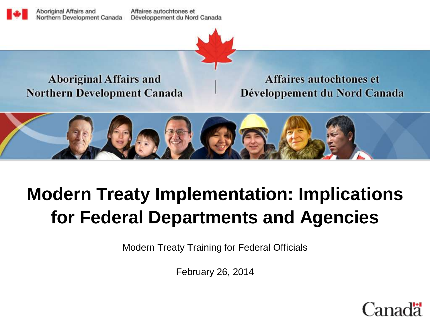Aboriginal Affairs and Northern Development Canada

Affaires autochtones et Développement du Nord Canada



#### **Aboriginal Affairs and Northern Development Canada**

Affaires autochtones et Développement du Nord Canada



# **Modern Treaty Implementation: Implications for Federal Departments and Agencies**

Modern Treaty Training for Federal Officials

February 26, 2014

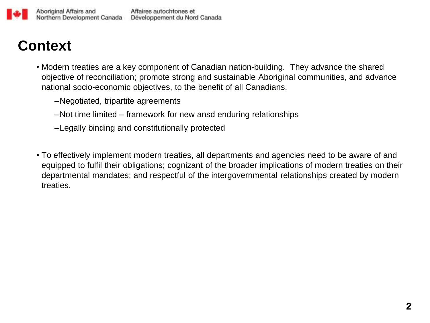### **Context**

- Modern treaties are a key component of Canadian nation-building. They advance the shared objective of reconciliation; promote strong and sustainable Aboriginal communities, and advance national socio-economic objectives, to the benefit of all Canadians.
	- –Negotiated, tripartite agreements
	- –Not time limited framework for new ansd enduring relationships
	- –Legally binding and constitutionally protected
- To effectively implement modern treaties, all departments and agencies need to be aware of and equipped to fulfil their obligations; cognizant of the broader implications of modern treaties on their departmental mandates; and respectful of the intergovernmental relationships created by modern treaties.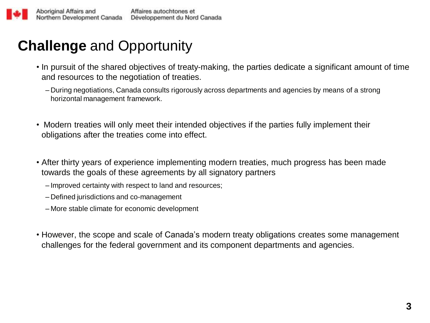## **Challenge** and Opportunity

- In pursuit of the shared objectives of treaty-making, the parties dedicate a significant amount of time and resources to the negotiation of treaties.
	- During negotiations, Canada consults rigorously across departments and agencies by means of a strong horizontal management framework.
- Modern treaties will only meet their intended objectives if the parties fully implement their obligations after the treaties come into effect.
- After thirty years of experience implementing modern treaties, much progress has been made towards the goals of these agreements by all signatory partners
	- Improved certainty with respect to land and resources;
	- Defined jurisdictions and co-management
	- More stable climate for economic development
- However, the scope and scale of Canada's modern treaty obligations creates some management challenges for the federal government and its component departments and agencies.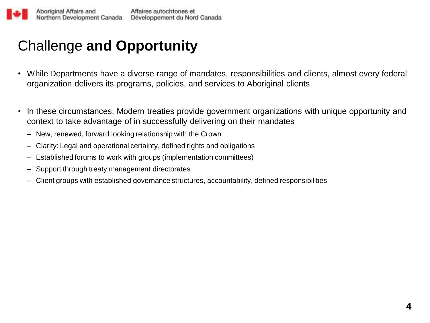# Challenge **and Opportunity**

- While Departments have a diverse range of mandates, responsibilities and clients, almost every federal organization delivers its programs, policies, and services to Aboriginal clients
- In these circumstances, Modern treaties provide government organizations with unique opportunity and context to take advantage of in successfully delivering on their mandates
	- New, renewed, forward looking relationship with the Crown
	- Clarity: Legal and operational certainty, defined rights and obligations
	- Established forums to work with groups (implementation committees)
	- Support through treaty management directorates
	- Client groups with established governance structures, accountability, defined responsibilities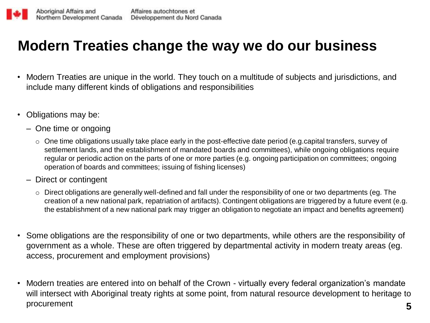#### **Modern Treaties change the way we do our business**

- Modern Treaties are unique in the world. They touch on a multitude of subjects and jurisdictions, and include many different kinds of obligations and responsibilities
- Obligations may be:
	- One time or ongoing
		- o One time obligations usually take place early in the post-effective date period (e.g.capital transfers, survey of settlement lands, and the establishment of mandated boards and committees), while ongoing obligations require regular or periodic action on the parts of one or more parties (e.g. ongoing participation on committees; ongoing operation of boards and committees; issuing of fishing licenses)
	- Direct or contingent
		- o Direct obligations are generally well-defined and fall under the responsibility of one or two departments (eg. The creation of a new national park, repatriation of artifacts). Contingent obligations are triggered by a future event (e.g. the establishment of a new national park may trigger an obligation to negotiate an impact and benefits agreement)
- Some obligations are the responsibility of one or two departments, while others are the responsibility of government as a whole. These are often triggered by departmental activity in modern treaty areas (eg. access, procurement and employment provisions)
- Modern treaties are entered into on behalf of the Crown virtually every federal organization's mandate will intersect with Aboriginal treaty rights at some point, from natural resource development to heritage to procurement **5**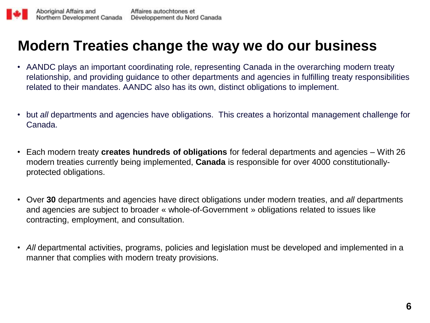#### **Modern Treaties change the way we do our business**

- AANDC plays an important coordinating role, representing Canada in the overarching modern treaty relationship, and providing guidance to other departments and agencies in fulfilling treaty responsibilities related to their mandates. AANDC also has its own, distinct obligations to implement.
- but *all* departments and agencies have obligations. This creates a horizontal management challenge for Canada.
- Each modern treaty **creates hundreds of obligations** for federal departments and agencies With 26 modern treaties currently being implemented, **Canada** is responsible for over 4000 constitutionallyprotected obligations.
- Over **30** departments and agencies have direct obligations under modern treaties, and *all* departments and agencies are subject to broader « whole-of-Government » obligations related to issues like contracting, employment, and consultation.
- *All* departmental activities, programs, policies and legislation must be developed and implemented in a manner that complies with modern treaty provisions.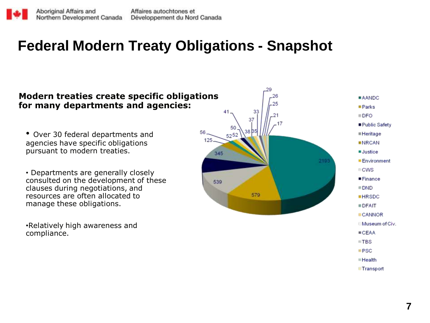#### **Federal Modern Treaty Obligations - Snapshot**

#### **Modern treaties create specific obligations for many departments and agencies:**

- Over 30 federal departments and agencies have specific obligations pursuant to modern treaties.
- Departments are generally closely consulted on the development of these clauses during negotiations, and resources are often allocated to manage these obligations.

•Relatively high awareness and compliance.

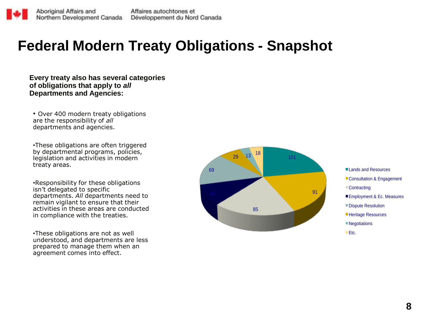#### **Federal Modern Treaty Obligations - Snapshot**

**Every treaty also has several categories of obligations that apply to** *all*  **Departments and Agencies:**

• Over 400 modern treaty obligations are the responsibility of *all*  departments and agencies.

•These obligations are often triggered by departmental programs, policies, legislation and activities in modern treaty areas.

•Responsibility for these obligations isn't delegated to specific departments. *All* departments need to remain vigilant to ensure that their activities in these areas are conducted in compliance with the treaties.

•These obligations are not as well understood, and departments are less prepared to manage them when an agreement comes into effect.



■ Lands and Resources Consultation & Engagement ■Contracting Employment & Ec. Measures ■Dispute Resolution ■Heritage Resources **Negotiations** Etc.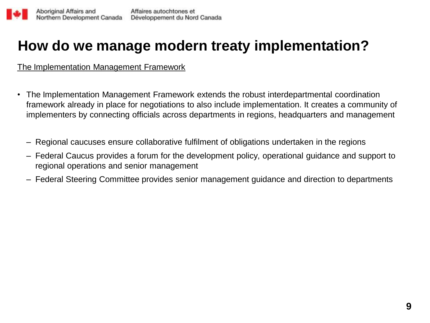### **How do we manage modern treaty implementation?**

The Implementation Management Framework

- The Implementation Management Framework extends the robust interdepartmental coordination framework already in place for negotiations to also include implementation. It creates a community of implementers by connecting officials across departments in regions, headquarters and management
	- Regional caucuses ensure collaborative fulfilment of obligations undertaken in the regions
	- Federal Caucus provides a forum for the development policy, operational guidance and support to regional operations and senior management
	- Federal Steering Committee provides senior management guidance and direction to departments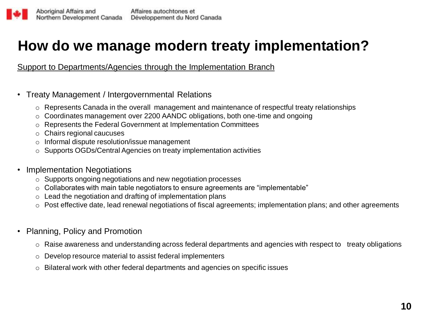### **How do we manage modern treaty implementation?**

Support to Departments/Agencies through the Implementation Branch

- Treaty Management / Intergovernmental Relations
	- $\circ$  Represents Canada in the overall management and maintenance of respectful treaty relationships
	- $\circ$  Coordinates management over 2200 AANDC obligations, both one-time and ongoing
	- o Represents the Federal Government at Implementation Committees
	- o Chairs regional caucuses
	- o Informal dispute resolution/issue management
	- o Supports OGDs/Central Agencies on treaty implementation activities
- **Implementation Negotiations** 
	- o Supports ongoing negotiations and new negotiation processes
	- $\circ$  Collaborates with main table negotiators to ensure agreements are "implementable"
	- $\circ$  Lead the negotiation and drafting of implementation plans
	- o Post effective date, lead renewal negotiations of fiscal agreements; implementation plans; and other agreements
- Planning, Policy and Promotion
	- o Raise awareness and understanding across federal departments and agencies with respect to treaty obligations
	- o Develop resource material to assist federal implementers
	- $\circ$  Bilateral work with other federal departments and agencies on specific issues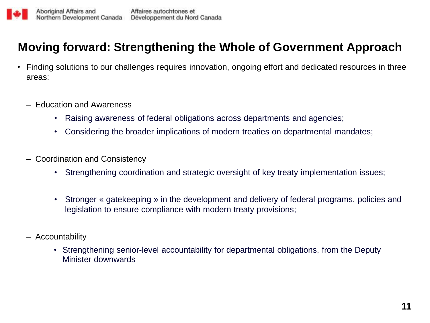#### **Moving forward: Strengthening the Whole of Government Approach**

- Finding solutions to our challenges requires innovation, ongoing effort and dedicated resources in three areas:
	- Education and Awareness
		- Raising awareness of federal obligations across departments and agencies;
		- Considering the broader implications of modern treaties on departmental mandates;
	- Coordination and Consistency
		- Strengthening coordination and strategic oversight of key treaty implementation issues;
		- Stronger « gatekeeping » in the development and delivery of federal programs, policies and legislation to ensure compliance with modern treaty provisions;
	- Accountability
		- Strengthening senior-level accountability for departmental obligations, from the Deputy Minister downwards